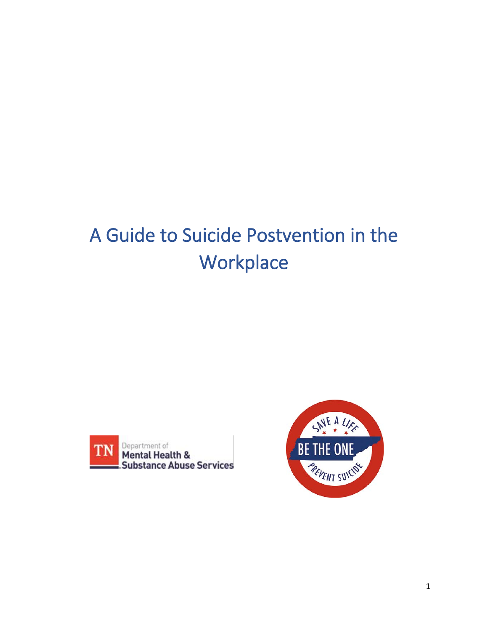# A Guide to Suicide Postvention in the **Workplace**



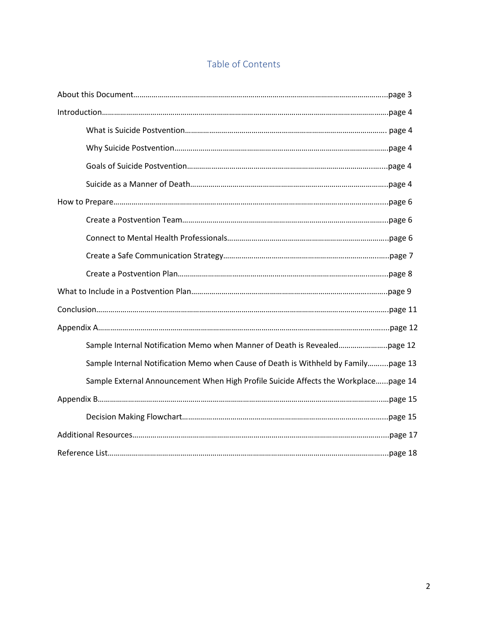## Table of Contents

| Sample Internal Notification Memo when Cause of Death is Withheld by Familypage 13  |  |
|-------------------------------------------------------------------------------------|--|
| Sample External Announcement When High Profile Suicide Affects the Workplacepage 14 |  |
|                                                                                     |  |
|                                                                                     |  |
|                                                                                     |  |
|                                                                                     |  |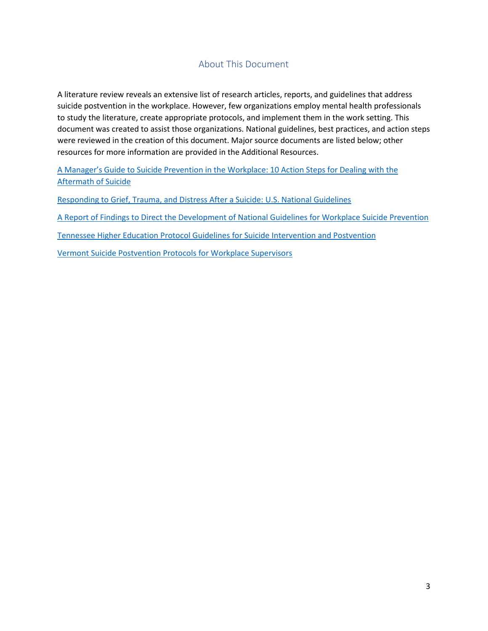## About This Document

A literature review reveals an extensive list of research articles, reports, and guidelines that address suicide postvention in the workplace. However, few organizations employ mental health professionals to study the literature, create appropriate protocols, and implement them in the work setting. This document was created to assist those organizations. National guidelines, best practices, and action steps were reviewed in the creation of this document. Major source documents are listed below; other resources for more information are provided in the Additional Resources.

[A Manager's Guide to Suicide Prevention in the Workplace: 10 Action Steps for Dealing with the](https://theactionalliance.org/sites/default/files/managers-guidebook-to-suicide-postvention-web.pdf)  [Aftermath of Suicide](https://theactionalliance.org/sites/default/files/managers-guidebook-to-suicide-postvention-web.pdf)

[Responding to Grief, Trauma, and Distress After a Suicide: U.S. National Guidelines](https://sprc.org/sites/default/files/migrate/library/RespondingAfterSuicideNationalGuidelines.pdf)

[A Report of Findings to Direct the Development of National Guidelines for Workplace Suicide Prevention](https://workplacesuicideprevention.com/wp-content/uploads/2019/10/National-Guidelines-Report.pdf)

[Tennessee Higher Education Protocol Guidelines for Suicide Intervention and Postvention](https://tnsuicidepreventionnetwork.s3.us-east-2.amazonaws.com/2020/12/Tennessee-Higher-Education-Protocol-Guidelines-for-Suicide-Intervention-and-Postvention.pdf)

[Vermont Suicide Postvention Protocols for Workplace Supervisors](http://vtspc.org/wp-content/uploads/2016/12/Final-Workplace-Supervisors-POSTvention.pdf)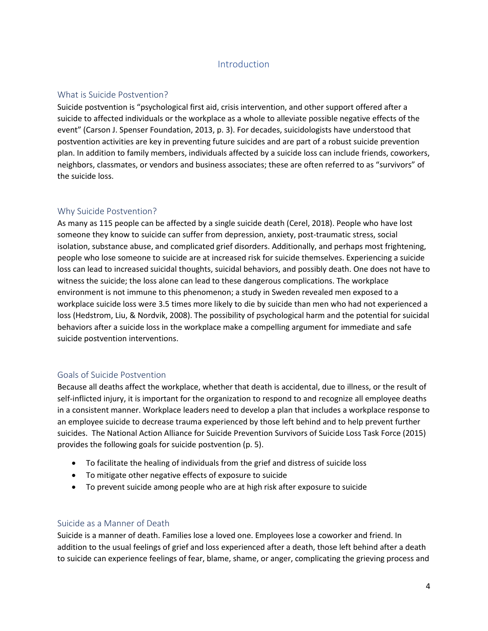## Introduction

#### What is Suicide Postvention?

Suicide postvention is "psychological first aid, crisis intervention, and other support offered after a suicide to affected individuals or the workplace as a whole to alleviate possible negative effects of the event" (Carson J. Spenser Foundation, 2013, p. 3). For decades, suicidologists have understood that postvention activities are key in preventing future suicides and are part of a robust suicide prevention plan. In addition to family members, individuals affected by a suicide loss can include friends, coworkers, neighbors, classmates, or vendors and business associates; these are often referred to as "survivors" of the suicide loss.

#### Why Suicide Postvention?

As many as 115 people can be affected by a single suicide death (Cerel, 2018). People who have lost someone they know to suicide can suffer from depression, anxiety, post-traumatic stress, social isolation, substance abuse, and complicated grief disorders. Additionally, and perhaps most frightening, people who lose someone to suicide are at increased risk for suicide themselves. Experiencing a suicide loss can lead to increased suicidal thoughts, suicidal behaviors, and possibly death. One does not have to witness the suicide; the loss alone can lead to these dangerous complications. The workplace environment is not immune to this phenomenon; a study in Sweden revealed men exposed to a workplace suicide loss were 3.5 times more likely to die by suicide than men who had not experienced a loss (Hedstrom, Liu, & Nordvik, 2008). The possibility of psychological harm and the potential for suicidal behaviors after a suicide loss in the workplace make a compelling argument for immediate and safe suicide postvention interventions.

## Goals of Suicide Postvention

Because all deaths affect the workplace, whether that death is accidental, due to illness, or the result of self-inflicted injury, it is important for the organization to respond to and recognize all employee deaths in a consistent manner. Workplace leaders need to develop a plan that includes a workplace response to an employee suicide to decrease trauma experienced by those left behind and to help prevent further suicides. The National Action Alliance for Suicide Prevention Survivors of Suicide Loss Task Force (2015) provides the following goals for suicide postvention (p. 5).

- To facilitate the healing of individuals from the grief and distress of suicide loss
- To mitigate other negative effects of exposure to suicide
- To prevent suicide among people who are at high risk after exposure to suicide

#### Suicide as a Manner of Death

Suicide is a manner of death. Families lose a loved one. Employees lose a coworker and friend. In addition to the usual feelings of grief and loss experienced after a death, those left behind after a death to suicide can experience feelings of fear, blame, shame, or anger, complicating the grieving process and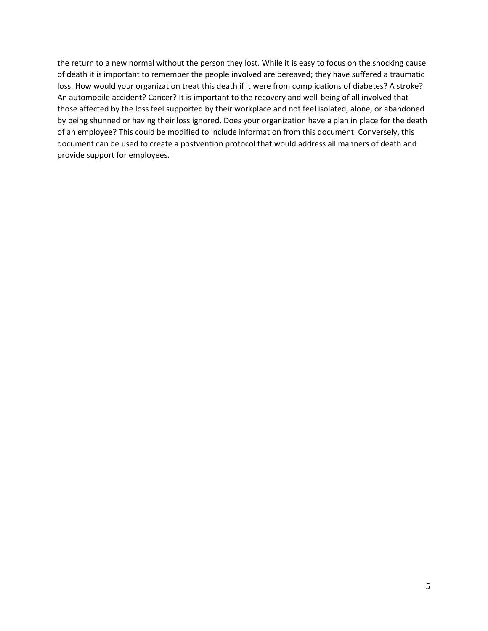the return to a new normal without the person they lost. While it is easy to focus on the shocking cause of death it is important to remember the people involved are bereaved; they have suffered a traumatic loss. How would your organization treat this death if it were from complications of diabetes? A stroke? An automobile accident? Cancer? It is important to the recovery and well-being of all involved that those affected by the loss feel supported by their workplace and not feel isolated, alone, or abandoned by being shunned or having their loss ignored. Does your organization have a plan in place for the death of an employee? This could be modified to include information from this document. Conversely, this document can be used to create a postvention protocol that would address all manners of death and provide support for employees.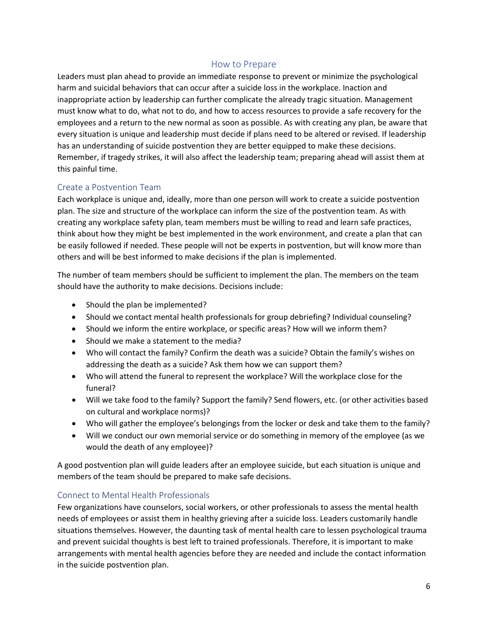## How to Prepare

Leaders must plan ahead to provide an immediate response to prevent or minimize the psychological harm and suicidal behaviors that can occur after a suicide loss in the workplace. Inaction and inappropriate action by leadership can further complicate the already tragic situation. Management must know what to do, what not to do, and how to access resources to provide a safe recovery for the employees and a return to the new normal as soon as possible. As with creating any plan, be aware that every situation is unique and leadership must decide if plans need to be altered or revised. If leadership has an understanding of suicide postvention they are better equipped to make these decisions. Remember, if tragedy strikes, it will also affect the leadership team; preparing ahead will assist them at this painful time.

#### Create a Postvention Team

Each workplace is unique and, ideally, more than one person will work to create a suicide postvention plan. The size and structure of the workplace can inform the size of the postvention team. As with creating any workplace safety plan, team members must be willing to read and learn safe practices, think about how they might be best implemented in the work environment, and create a plan that can be easily followed if needed. These people will not be experts in postvention, but will know more than others and will be best informed to make decisions if the plan is implemented.

The number of team members should be sufficient to implement the plan. The members on the team should have the authority to make decisions. Decisions include:

- Should the plan be implemented?
- Should we contact mental health professionals for group debriefing? Individual counseling?
- Should we inform the entire workplace, or specific areas? How will we inform them?
- Should we make a statement to the media?
- Who will contact the family? Confirm the death was a suicide? Obtain the family's wishes on addressing the death as a suicide? Ask them how we can support them?
- Who will attend the funeral to represent the workplace? Will the workplace close for the funeral?
- Will we take food to the family? Support the family? Send flowers, etc. (or other activities based on cultural and workplace norms)?
- Who will gather the employee's belongings from the locker or desk and take them to the family?
- Will we conduct our own memorial service or do something in memory of the employee (as we would the death of any employee)?

A good postvention plan will guide leaders after an employee suicide, but each situation is unique and members of the team should be prepared to make safe decisions.

## Connect to Mental Health Professionals

Few organizations have counselors, social workers, or other professionals to assess the mental health needs of employees or assist them in healthy grieving after a suicide loss. Leaders customarily handle situations themselves. However, the daunting task of mental health care to lessen psychological trauma and prevent suicidal thoughts is best left to trained professionals. Therefore, it is important to make arrangements with mental health agencies before they are needed and include the contact information in the suicide postvention plan.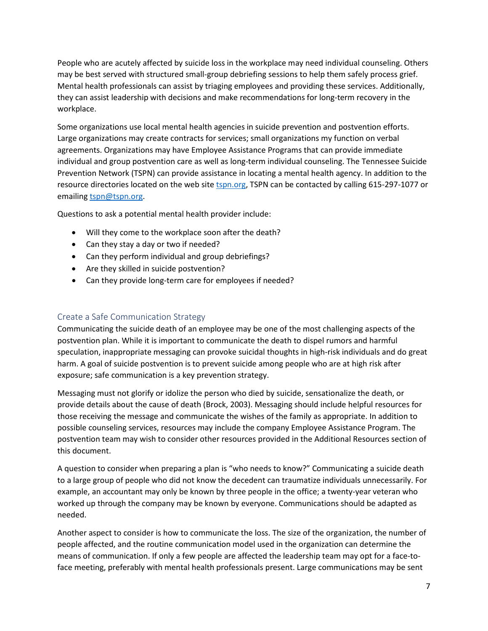People who are acutely affected by suicide loss in the workplace may need individual counseling. Others may be best served with structured small-group debriefing sessions to help them safely process grief. Mental health professionals can assist by triaging employees and providing these services. Additionally, they can assist leadership with decisions and make recommendations for long-term recovery in the workplace.

Some organizations use local mental health agencies in suicide prevention and postvention efforts. Large organizations may create contracts for services; small organizations my function on verbal agreements. Organizations may have Employee Assistance Programs that can provide immediate individual and group postvention care as well as long-term individual counseling. The Tennessee Suicide Prevention Network (TSPN) can provide assistance in locating a mental health agency. In addition to the resource directories located on the web site [tspn.org,](https://tspn.org/) TSPN can be contacted by calling 615-297-1077 or emailin[g tspn@tspn.org.](mailto:tspn@tspn.org)

Questions to ask a potential mental health provider include:

- Will they come to the workplace soon after the death?
- Can they stay a day or two if needed?
- Can they perform individual and group debriefings?
- Are they skilled in suicide postvention?
- Can they provide long-term care for employees if needed?

## Create a Safe Communication Strategy

Communicating the suicide death of an employee may be one of the most challenging aspects of the postvention plan. While it is important to communicate the death to dispel rumors and harmful speculation, inappropriate messaging can provoke suicidal thoughts in high-risk individuals and do great harm. A goal of suicide postvention is to prevent suicide among people who are at high risk after exposure; safe communication is a key prevention strategy.

Messaging must not glorify or idolize the person who died by suicide, sensationalize the death, or provide details about the cause of death (Brock, 2003). Messaging should include helpful resources for those receiving the message and communicate the wishes of the family as appropriate. In addition to possible counseling services, resources may include the company Employee Assistance Program. The postvention team may wish to consider other resources provided in the Additional Resources section of this document.

A question to consider when preparing a plan is "who needs to know?" Communicating a suicide death to a large group of people who did not know the decedent can traumatize individuals unnecessarily. For example, an accountant may only be known by three people in the office; a twenty-year veteran who worked up through the company may be known by everyone. Communications should be adapted as needed.

Another aspect to consider is how to communicate the loss. The size of the organization, the number of people affected, and the routine communication model used in the organization can determine the means of communication. If only a few people are affected the leadership team may opt for a face-toface meeting, preferably with mental health professionals present. Large communications may be sent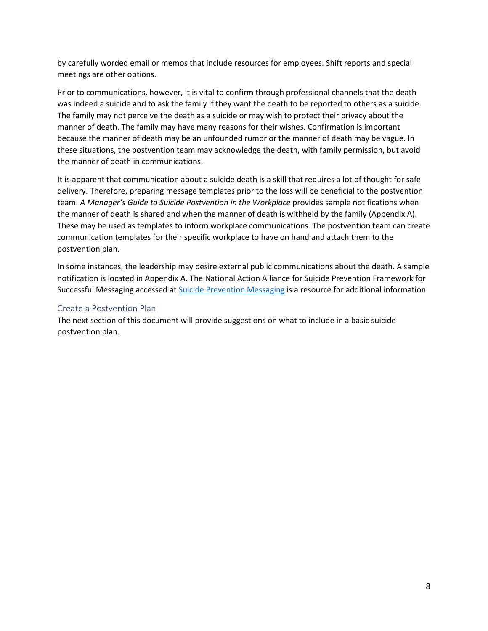by carefully worded email or memos that include resources for employees. Shift reports and special meetings are other options.

Prior to communications, however, it is vital to confirm through professional channels that the death was indeed a suicide and to ask the family if they want the death to be reported to others as a suicide. The family may not perceive the death as a suicide or may wish to protect their privacy about the manner of death. The family may have many reasons for their wishes. Confirmation is important because the manner of death may be an unfounded rumor or the manner of death may be vague. In these situations, the postvention team may acknowledge the death, with family permission, but avoid the manner of death in communications.

It is apparent that communication about a suicide death is a skill that requires a lot of thought for safe delivery. Therefore, preparing message templates prior to the loss will be beneficial to the postvention team. *A Manager's Guide to Suicide Postvention in the Workplace* provides sample notifications when the manner of death is shared and when the manner of death is withheld by the family (Appendix A). These may be used as templates to inform workplace communications. The postvention team can create communication templates for their specific workplace to have on hand and attach them to the postvention plan.

In some instances, the leadership may desire external public communications about the death. A sample notification is located in Appendix A. The National Action Alliance for Suicide Prevention Framework for Successful Messaging accessed at [Suicide Prevention Messaging](https://suicidepreventionmessaging.org/) is a resource for additional information.

## Create a Postvention Plan

The next section of this document will provide suggestions on what to include in a basic suicide postvention plan.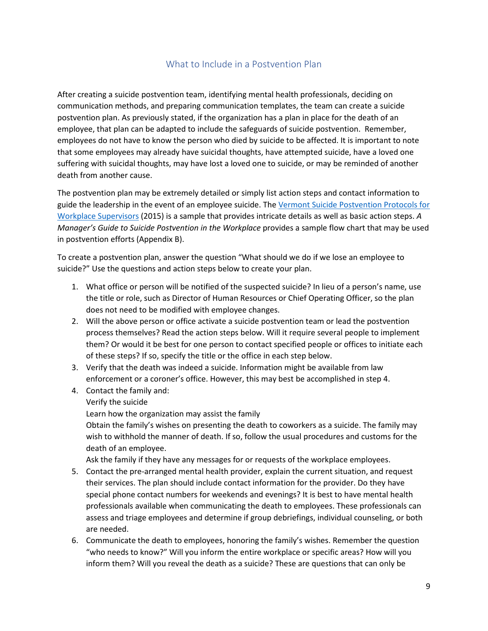## What to Include in a Postvention Plan

After creating a suicide postvention team, identifying mental health professionals, deciding on communication methods, and preparing communication templates, the team can create a suicide postvention plan. As previously stated, if the organization has a plan in place for the death of an employee, that plan can be adapted to include the safeguards of suicide postvention. Remember, employees do not have to know the person who died by suicide to be affected. It is important to note that some employees may already have suicidal thoughts, have attempted suicide, have a loved one suffering with suicidal thoughts, may have lost a loved one to suicide, or may be reminded of another death from another cause.

The postvention plan may be extremely detailed or simply list action steps and contact information to guide the leadership in the event of an employee suicide. The [Vermont Suicide Postvention Protocols for](http://vtspc.org/wp-content/uploads/2016/12/Final-Workplace-Supervisors-POSTvention.pdf)  [Workplace Supervisors](http://vtspc.org/wp-content/uploads/2016/12/Final-Workplace-Supervisors-POSTvention.pdf) (2015) is a sample that provides intricate details as well as basic action steps. *A Manager's Guide to Suicide Postvention in the Workplace* provides a sample flow chart that may be used in postvention efforts (Appendix B).

To create a postvention plan, answer the question "What should we do if we lose an employee to suicide?" Use the questions and action steps below to create your plan.

- 1. What office or person will be notified of the suspected suicide? In lieu of a person's name, use the title or role, such as Director of Human Resources or Chief Operating Officer, so the plan does not need to be modified with employee changes.
- 2. Will the above person or office activate a suicide postvention team or lead the postvention process themselves? Read the action steps below. Will it require several people to implement them? Or would it be best for one person to contact specified people or offices to initiate each of these steps? If so, specify the title or the office in each step below.
- 3. Verify that the death was indeed a suicide. Information might be available from law enforcement or a coroner's office. However, this may best be accomplished in step 4.
- 4. Contact the family and:
	- Verify the suicide

Learn how the organization may assist the family

Obtain the family's wishes on presenting the death to coworkers as a suicide. The family may wish to withhold the manner of death. If so, follow the usual procedures and customs for the death of an employee.

Ask the family if they have any messages for or requests of the workplace employees.

- 5. Contact the pre-arranged mental health provider, explain the current situation, and request their services. The plan should include contact information for the provider. Do they have special phone contact numbers for weekends and evenings? It is best to have mental health professionals available when communicating the death to employees. These professionals can assess and triage employees and determine if group debriefings, individual counseling, or both are needed.
- 6. Communicate the death to employees, honoring the family's wishes. Remember the question "who needs to know?" Will you inform the entire workplace or specific areas? How will you inform them? Will you reveal the death as a suicide? These are questions that can only be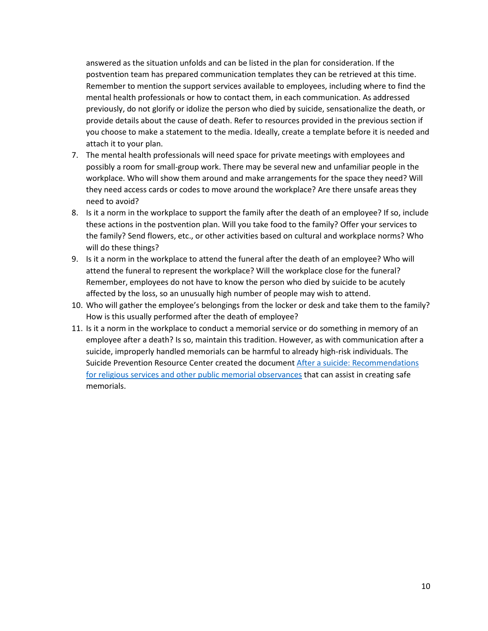answered as the situation unfolds and can be listed in the plan for consideration. If the postvention team has prepared communication templates they can be retrieved at this time. Remember to mention the support services available to employees, including where to find the mental health professionals or how to contact them, in each communication. As addressed previously, do not glorify or idolize the person who died by suicide, sensationalize the death, or provide details about the cause of death. Refer to resources provided in the previous section if you choose to make a statement to the media. Ideally, create a template before it is needed and attach it to your plan.

- 7. The mental health professionals will need space for private meetings with employees and possibly a room for small-group work. There may be several new and unfamiliar people in the workplace. Who will show them around and make arrangements for the space they need? Will they need access cards or codes to move around the workplace? Are there unsafe areas they need to avoid?
- 8. Is it a norm in the workplace to support the family after the death of an employee? If so, include these actions in the postvention plan. Will you take food to the family? Offer your services to the family? Send flowers, etc., or other activities based on cultural and workplace norms? Who will do these things?
- 9. Is it a norm in the workplace to attend the funeral after the death of an employee? Who will attend the funeral to represent the workplace? Will the workplace close for the funeral? Remember, employees do not have to know the person who died by suicide to be acutely affected by the loss, so an unusually high number of people may wish to attend.
- 10. Who will gather the employee's belongings from the locker or desk and take them to the family? How is this usually performed after the death of employee?
- 11. Is it a norm in the workplace to conduct a memorial service or do something in memory of an employee after a death? Is so, maintain this tradition. However, as with communication after a suicide, improperly handled memorials can be harmful to already high-risk individuals. The Suicide Prevention Resource Center created the documen[t After a suicide: Recommendations](https://www.sprc.org/sites/default/files/migrate/library/aftersuicide.pdf)  [for religious services and other public memorial observances](https://www.sprc.org/sites/default/files/migrate/library/aftersuicide.pdf) that can assist in creating safe memorials.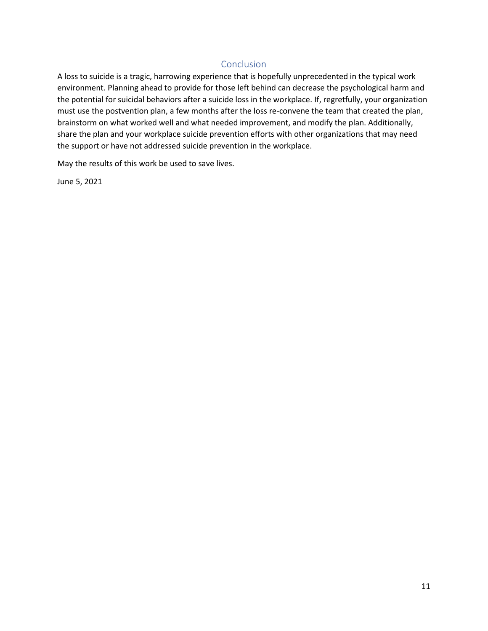## Conclusion

A loss to suicide is a tragic, harrowing experience that is hopefully unprecedented in the typical work environment. Planning ahead to provide for those left behind can decrease the psychological harm and the potential for suicidal behaviors after a suicide loss in the workplace. If, regretfully, your organization must use the postvention plan, a few months after the loss re-convene the team that created the plan, brainstorm on what worked well and what needed improvement, and modify the plan. Additionally, share the plan and your workplace suicide prevention efforts with other organizations that may need the support or have not addressed suicide prevention in the workplace.

May the results of this work be used to save lives.

June 5, 2021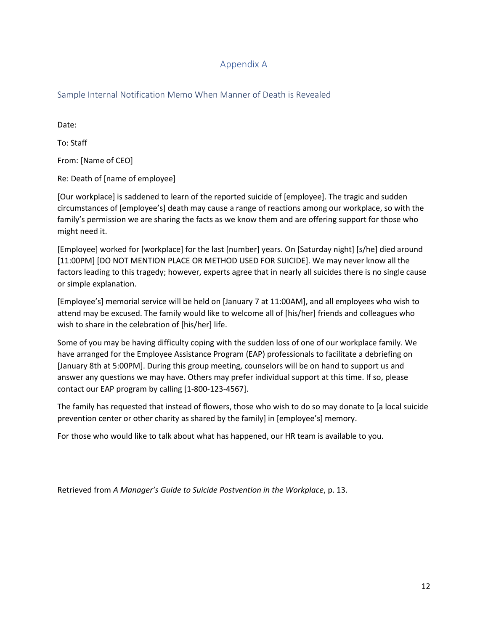## Appendix A

Sample Internal Notification Memo When Manner of Death is Revealed

Date:

To: Staff

From: [Name of CEO]

Re: Death of [name of employee]

[Our workplace] is saddened to learn of the reported suicide of [employee]. The tragic and sudden circumstances of [employee's] death may cause a range of reactions among our workplace, so with the family's permission we are sharing the facts as we know them and are offering support for those who might need it.

[Employee] worked for [workplace] for the last [number] years. On [Saturday night] [s/he] died around [11:00PM] [DO NOT MENTION PLACE OR METHOD USED FOR SUICIDE]. We may never know all the factors leading to this tragedy; however, experts agree that in nearly all suicides there is no single cause or simple explanation.

[Employee's] memorial service will be held on [January 7 at 11:00AM], and all employees who wish to attend may be excused. The family would like to welcome all of [his/her] friends and colleagues who wish to share in the celebration of [his/her] life.

Some of you may be having difficulty coping with the sudden loss of one of our workplace family. We have arranged for the Employee Assistance Program (EAP) professionals to facilitate a debriefing on [January 8th at 5:00PM]. During this group meeting, counselors will be on hand to support us and answer any questions we may have. Others may prefer individual support at this time. If so, please contact our EAP program by calling [1-800-123-4567].

The family has requested that instead of flowers, those who wish to do so may donate to [a local suicide prevention center or other charity as shared by the family] in [employee's] memory.

For those who would like to talk about what has happened, our HR team is available to you.

Retrieved from *A Manager's Guide to Suicide Postvention in the Workplace*, p. 13.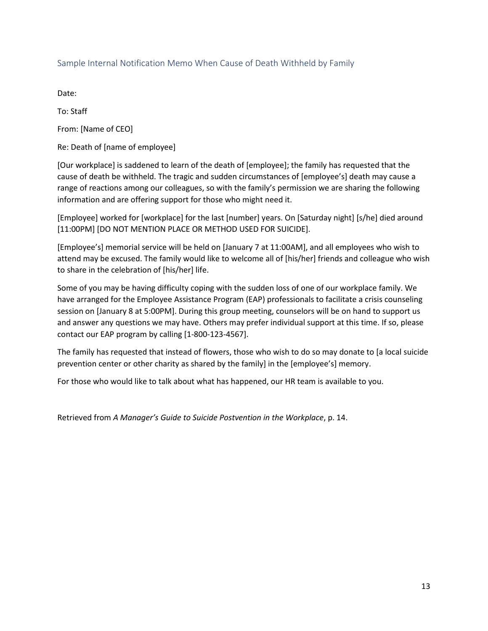## Sample Internal Notification Memo When Cause of Death Withheld by Family

Date:

To: Staff

From: [Name of CEO]

Re: Death of [name of employee]

[Our workplace] is saddened to learn of the death of [employee]; the family has requested that the cause of death be withheld. The tragic and sudden circumstances of [employee's] death may cause a range of reactions among our colleagues, so with the family's permission we are sharing the following information and are offering support for those who might need it.

[Employee] worked for [workplace] for the last [number] years. On [Saturday night] [s/he] died around [11:00PM] [DO NOT MENTION PLACE OR METHOD USED FOR SUICIDE].

[Employee's] memorial service will be held on [January 7 at 11:00AM], and all employees who wish to attend may be excused. The family would like to welcome all of [his/her] friends and colleague who wish to share in the celebration of [his/her] life.

Some of you may be having difficulty coping with the sudden loss of one of our workplace family. We have arranged for the Employee Assistance Program (EAP) professionals to facilitate a crisis counseling session on [January 8 at 5:00PM]. During this group meeting, counselors will be on hand to support us and answer any questions we may have. Others may prefer individual support at this time. If so, please contact our EAP program by calling [1-800-123-4567].

The family has requested that instead of flowers, those who wish to do so may donate to [a local suicide prevention center or other charity as shared by the family] in the [employee's] memory.

For those who would like to talk about what has happened, our HR team is available to you.

Retrieved from *A Manager's Guide to Suicide Postvention in the Workplace*, p. 14.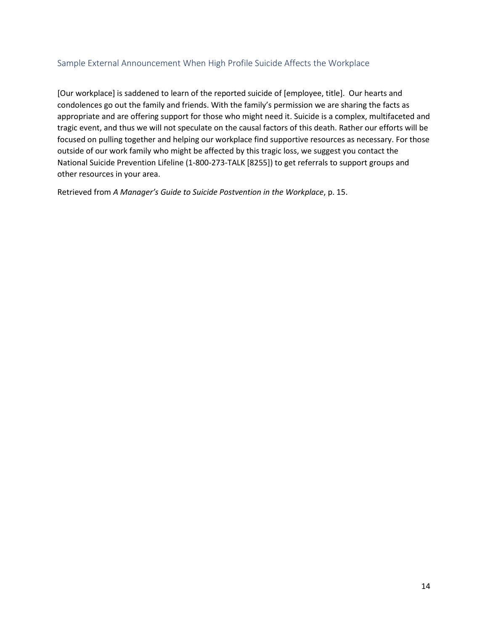## Sample External Announcement When High Profile Suicide Affects the Workplace

[Our workplace] is saddened to learn of the reported suicide of [employee, title]. Our hearts and condolences go out the family and friends. With the family's permission we are sharing the facts as appropriate and are offering support for those who might need it. Suicide is a complex, multifaceted and tragic event, and thus we will not speculate on the causal factors of this death. Rather our efforts will be focused on pulling together and helping our workplace find supportive resources as necessary. For those outside of our work family who might be affected by this tragic loss, we suggest you contact the National Suicide Prevention Lifeline (1-800-273-TALK [8255]) to get referrals to support groups and other resources in your area.

Retrieved from *A Manager's Guide to Suicide Postvention in the Workplace*, p. 15.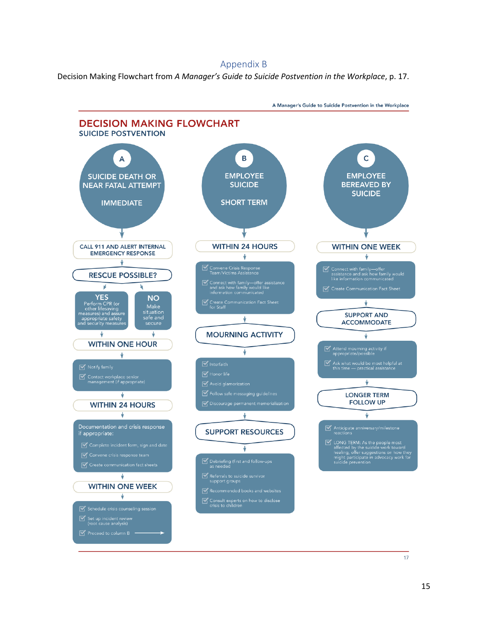#### Appendix B

Decision Making Flowchart from *A Manager's Guide to Suicide Postvention in the Workplace*, p. 17.



A Manager's Guide to Suicide Postvention in the Workplace

17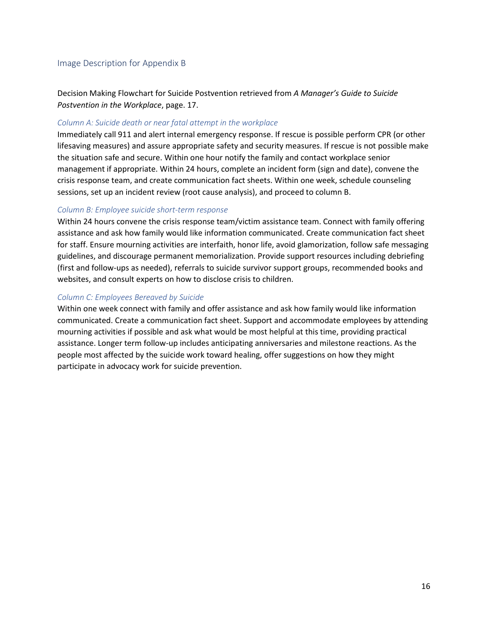#### Image Description for Appendix B

Decision Making Flowchart for Suicide Postvention retrieved from *A Manager's Guide to Suicide Postvention in the Workplace*, page. 17.

#### *Column A: Suicide death or near fatal attempt in the workplace*

Immediately call 911 and alert internal emergency response. If rescue is possible perform CPR (or other lifesaving measures) and assure appropriate safety and security measures. If rescue is not possible make the situation safe and secure. Within one hour notify the family and contact workplace senior management if appropriate. Within 24 hours, complete an incident form (sign and date), convene the crisis response team, and create communication fact sheets. Within one week, schedule counseling sessions, set up an incident review (root cause analysis), and proceed to column B.

#### *Column B: Employee suicide short-term response*

Within 24 hours convene the crisis response team/victim assistance team. Connect with family offering assistance and ask how family would like information communicated. Create communication fact sheet for staff. Ensure mourning activities are interfaith, honor life, avoid glamorization, follow safe messaging guidelines, and discourage permanent memorialization. Provide support resources including debriefing (first and follow-ups as needed), referrals to suicide survivor support groups, recommended books and websites, and consult experts on how to disclose crisis to children.

#### *Column C: Employees Bereaved by Suicide*

Within one week connect with family and offer assistance and ask how family would like information communicated. Create a communication fact sheet. Support and accommodate employees by attending mourning activities if possible and ask what would be most helpful at this time, providing practical assistance. Longer term follow-up includes anticipating anniversaries and milestone reactions. As the people most affected by the suicide work toward healing, offer suggestions on how they might participate in advocacy work for suicide prevention.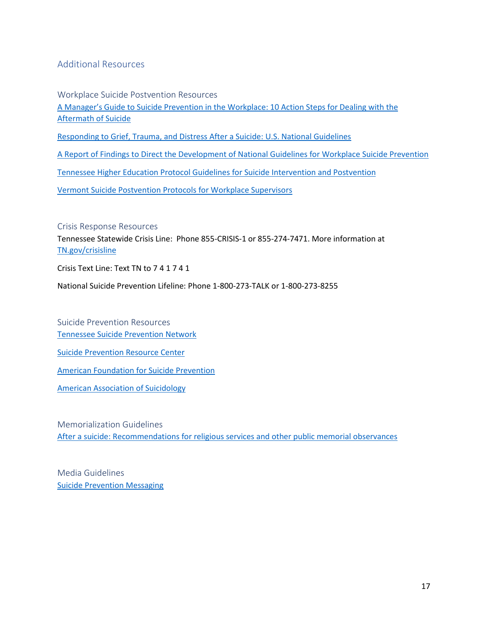## Additional Resources

Workplace Suicide Postvention Resources [A Manager's Guide to Suicide Prevention in the Workplace: 10 Action Steps for Dealing with the](https://theactionalliance.org/sites/default/files/managers-guidebook-to-suicide-postvention-web.pdf)  [Aftermath of Suicide](https://theactionalliance.org/sites/default/files/managers-guidebook-to-suicide-postvention-web.pdf) [Responding to Grief, Trauma, and Distress After a Suicide: U.S. National Guidelines](https://sprc.org/sites/default/files/migrate/library/RespondingAfterSuicideNationalGuidelines.pdf) [A Report of Findings to Direct the Development of National Guidelines for Workplace Suicide Prevention](https://workplacesuicideprevention.com/wp-content/uploads/2019/10/National-Guidelines-Report.pdf)

[Tennessee Higher Education Protocol Guidelines for Suicide Intervention and Postvention](https://tnsuicidepreventionnetwork.s3.us-east-2.amazonaws.com/2020/12/Tennessee-Higher-Education-Protocol-Guidelines-for-Suicide-Intervention-and-Postvention.pdf)

[Vermont Suicide Postvention Protocols for Workplace Supervisors](http://vtspc.org/wp-content/uploads/2016/12/Final-Workplace-Supervisors-POSTvention.pdf)

Crisis Response Resources

Tennessee Statewide Crisis Line: Phone 855-CRISIS-1 or 855-274-7471. More information at [TN.gov/crisisline](https://www.tn.gov/behavioral-health/need-help/crisis-services/tn-statewide-crisis-phone-line.html)

Crisis Text Line: Text TN to 7 4 1 7 4 1

National Suicide Prevention Lifeline: Phone 1-800-273-TALK or 1-800-273-8255

Suicide Prevention Resources [Tennessee Suicide Prevention Network](https://tspn.org/)

[Suicide Prevention Resource Center](https://sprc.org/)

[American Foundation for Suicide Prevention](https://afsp.org/)

[American Association of Suicidology](https://suicidology.org/)

Memorialization Guidelines [After a suicide: Recommendations for religious services and other public memorial observances](https://www.sprc.org/sites/default/files/migrate/library/aftersuicide.pdf)

Media Guidelines [Suicide Prevention Messaging](https://suicidepreventionmessaging.org/)